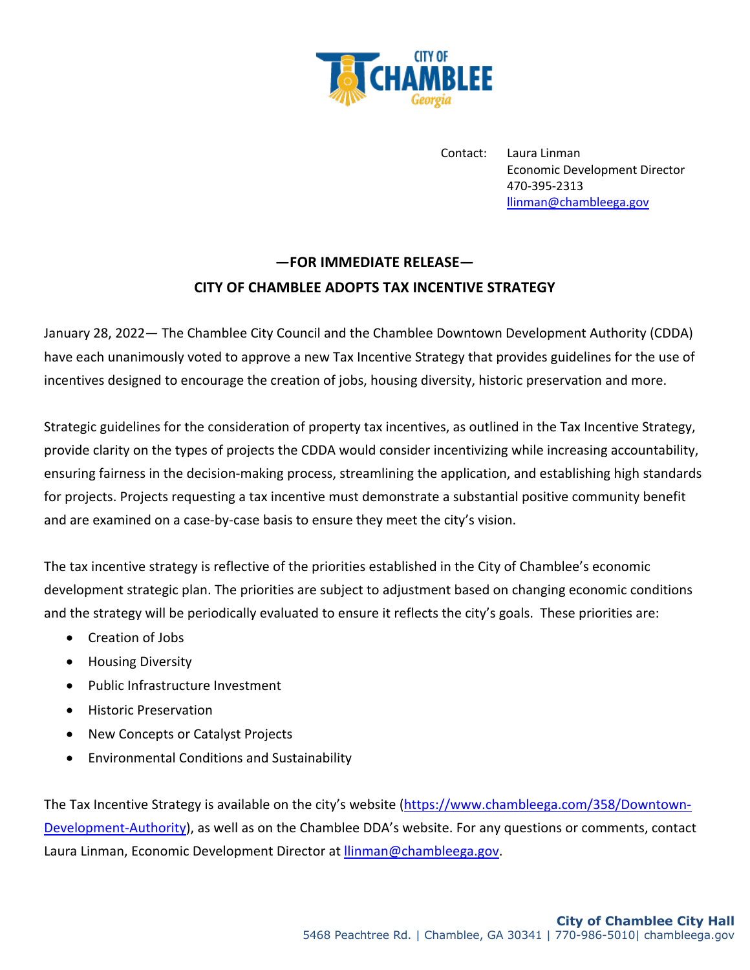

Contact: Laura Linman Economic Development Director 470-395-2313 llinman@chambleega.gov

## **—FOR IMMEDIATE RELEASE— CITY OF CHAMBLEE ADOPTS TAX INCENTIVE STRATEGY**

January 28, 2022— The Chamblee City Council and the Chamblee Downtown Development Authority (CDDA) have each unanimously voted to approve a new Tax Incentive Strategy that provides guidelines for the use of incentives designed to encourage the creation of jobs, housing diversity, historic preservation and more.

Strategic guidelines for the consideration of property tax incentives, as outlined in the Tax Incentive Strategy, provide clarity on the types of projects the CDDA would consider incentivizing while increasing accountability, ensuring fairness in the decision-making process, streamlining the application, and establishing high standards for projects. Projects requesting a tax incentive must demonstrate a substantial positive community benefit and are examined on a case-by-case basis to ensure they meet the city's vision.

The tax incentive strategy is reflective of the priorities established in the City of Chamblee's economic development strategic plan. The priorities are subject to adjustment based on changing economic conditions and the strategy will be periodically evaluated to ensure it reflects the city's goals. These priorities are:

- Creation of Jobs
- Housing Diversity
- Public Infrastructure Investment
- Historic Preservation
- New Concepts or Catalyst Projects
- Environmental Conditions and Sustainability

The Tax Incentive Strategy is available on the city's website (https://www.chambleega.com/358/Downtown-Development-Authority), as well as on the Chamblee DDA's website. For any questions or comments, contact Laura Linman, Economic Development Director at llinman@chambleega.gov.